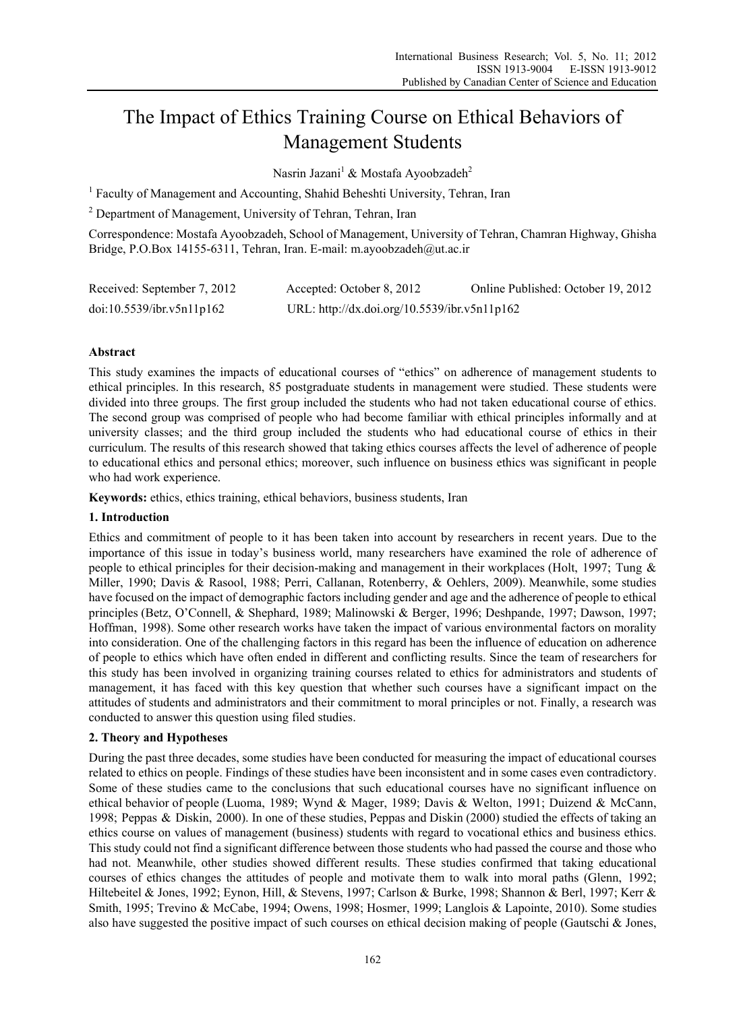# The Impact of Ethics Training Course on Ethical Behaviors of Management Students

Nasrin Jazani<sup>1</sup> & Mostafa Ayoobzadeh<sup>2</sup>

<sup>1</sup> Faculty of Management and Accounting, Shahid Beheshti University, Tehran, Iran

<sup>2</sup> Department of Management, University of Tehran, Tehran, Iran

Correspondence: Mostafa Ayoobzadeh, School of Management, University of Tehran, Chamran Highway, Ghisha Bridge, P.O.Box 14155-6311, Tehran, Iran. E-mail: m.ayoobzadeh@ut.ac.ir

| Received: September 7, 2012 | Accepted: October 8, 2012                    | Online Published: October 19, 2012 |
|-----------------------------|----------------------------------------------|------------------------------------|
| doi:10.5539/ibr.v5n11p162   | URL: http://dx.doi.org/10.5539/ibr.v5n11p162 |                                    |

# **Abstract**

This study examines the impacts of educational courses of "ethics" on adherence of management students to ethical principles. In this research, 85 postgraduate students in management were studied. These students were divided into three groups. The first group included the students who had not taken educational course of ethics. The second group was comprised of people who had become familiar with ethical principles informally and at university classes; and the third group included the students who had educational course of ethics in their curriculum. The results of this research showed that taking ethics courses affects the level of adherence of people to educational ethics and personal ethics; moreover, such influence on business ethics was significant in people who had work experience.

**Keywords:** ethics, ethics training, ethical behaviors, business students, Iran

# **1. Introduction**

Ethics and commitment of people to it has been taken into account by researchers in recent years. Due to the importance of this issue in today's business world, many researchers have examined the role of adherence of people to ethical principles for their decision-making and management in their workplaces (Holt, 1997; Tung & Miller, 1990; Davis & Rasool, 1988; Perri, Callanan, Rotenberry, & Oehlers, 2009). Meanwhile, some studies have focused on the impact of demographic factors including gender and age and the adherence of people to ethical principles (Betz, O'Connell, & Shephard, 1989; Malinowski & Berger, 1996; Deshpande, 1997; Dawson, 1997; Hoffman, 1998). Some other research works have taken the impact of various environmental factors on morality into consideration. One of the challenging factors in this regard has been the influence of education on adherence of people to ethics which have often ended in different and conflicting results. Since the team of researchers for this study has been involved in organizing training courses related to ethics for administrators and students of management, it has faced with this key question that whether such courses have a significant impact on the attitudes of students and administrators and their commitment to moral principles or not. Finally, a research was conducted to answer this question using filed studies.

# **2. Theory and Hypotheses**

During the past three decades, some studies have been conducted for measuring the impact of educational courses related to ethics on people. Findings of these studies have been inconsistent and in some cases even contradictory. Some of these studies came to the conclusions that such educational courses have no significant influence on ethical behavior of people (Luoma, 1989; Wynd & Mager, 1989; Davis & Welton, 1991; Duizend & McCann, 1998; Peppas & Diskin, 2000). In one of these studies, Peppas and Diskin (2000) studied the effects of taking an ethics course on values of management (business) students with regard to vocational ethics and business ethics. This study could not find a significant difference between those students who had passed the course and those who had not. Meanwhile, other studies showed different results. These studies confirmed that taking educational courses of ethics changes the attitudes of people and motivate them to walk into moral paths (Glenn, 1992; Hiltebeitel & Jones, 1992; Eynon, Hill, & Stevens, 1997; Carlson & Burke, 1998; Shannon & Berl, 1997; Kerr & Smith, 1995; Trevino & McCabe, 1994; Owens, 1998; Hosmer, 1999; Langlois & Lapointe, 2010). Some studies also have suggested the positive impact of such courses on ethical decision making of people (Gautschi & Jones,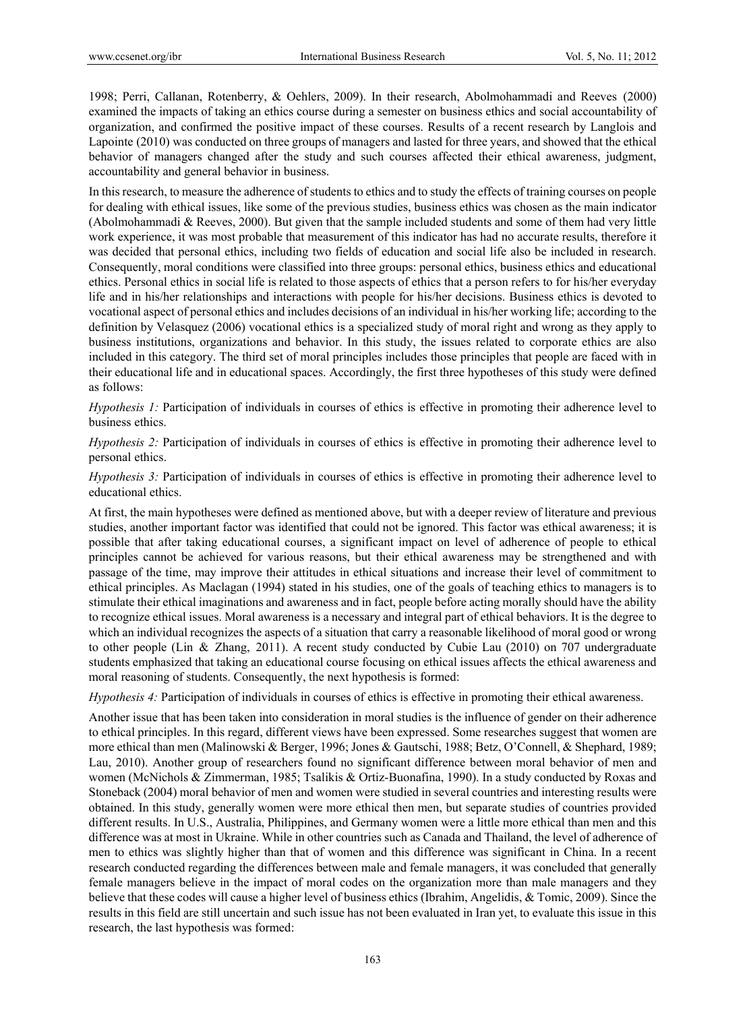1998; Perri, Callanan, Rotenberry, & Oehlers, 2009). In their research, Abolmohammadi and Reeves (2000) examined the impacts of taking an ethics course during a semester on business ethics and social accountability of organization, and confirmed the positive impact of these courses. Results of a recent research by Langlois and Lapointe (2010) was conducted on three groups of managers and lasted for three years, and showed that the ethical behavior of managers changed after the study and such courses affected their ethical awareness, judgment, accountability and general behavior in business.

In this research, to measure the adherence of students to ethics and to study the effects of training courses on people for dealing with ethical issues, like some of the previous studies, business ethics was chosen as the main indicator (Abolmohammadi & Reeves, 2000). But given that the sample included students and some of them had very little work experience, it was most probable that measurement of this indicator has had no accurate results, therefore it was decided that personal ethics, including two fields of education and social life also be included in research. Consequently, moral conditions were classified into three groups: personal ethics, business ethics and educational ethics. Personal ethics in social life is related to those aspects of ethics that a person refers to for his/her everyday life and in his/her relationships and interactions with people for his/her decisions. Business ethics is devoted to vocational aspect of personal ethics and includes decisions of an individual in his/her working life; according to the definition by Velasquez (2006) vocational ethics is a specialized study of moral right and wrong as they apply to business institutions, organizations and behavior. In this study, the issues related to corporate ethics are also included in this category. The third set of moral principles includes those principles that people are faced with in their educational life and in educational spaces. Accordingly, the first three hypotheses of this study were defined as follows:

*Hypothesis 1:* Participation of individuals in courses of ethics is effective in promoting their adherence level to business ethics.

*Hypothesis 2:* Participation of individuals in courses of ethics is effective in promoting their adherence level to personal ethics.

*Hypothesis 3:* Participation of individuals in courses of ethics is effective in promoting their adherence level to educational ethics.

At first, the main hypotheses were defined as mentioned above, but with a deeper review of literature and previous studies, another important factor was identified that could not be ignored. This factor was ethical awareness; it is possible that after taking educational courses, a significant impact on level of adherence of people to ethical principles cannot be achieved for various reasons, but their ethical awareness may be strengthened and with passage of the time, may improve their attitudes in ethical situations and increase their level of commitment to ethical principles. As Maclagan (1994) stated in his studies, one of the goals of teaching ethics to managers is to stimulate their ethical imaginations and awareness and in fact, people before acting morally should have the ability to recognize ethical issues. Moral awareness is a necessary and integral part of ethical behaviors. It is the degree to which an individual recognizes the aspects of a situation that carry a reasonable likelihood of moral good or wrong to other people (Lin & Zhang, 2011). A recent study conducted by Cubie Lau (2010) on 707 undergraduate students emphasized that taking an educational course focusing on ethical issues affects the ethical awareness and moral reasoning of students. Consequently, the next hypothesis is formed:

*Hypothesis 4:* Participation of individuals in courses of ethics is effective in promoting their ethical awareness.

Another issue that has been taken into consideration in moral studies is the influence of gender on their adherence to ethical principles. In this regard, different views have been expressed. Some researches suggest that women are more ethical than men (Malinowski & Berger, 1996; Jones & Gautschi, 1988; Betz, O'Connell, & Shephard, 1989; Lau, 2010). Another group of researchers found no significant difference between moral behavior of men and women (McNichols & Zimmerman, 1985; Tsalikis & Ortiz-Buonafina, 1990). In a study conducted by Roxas and Stoneback (2004) moral behavior of men and women were studied in several countries and interesting results were obtained. In this study, generally women were more ethical then men, but separate studies of countries provided different results. In U.S., Australia, Philippines, and Germany women were a little more ethical than men and this difference was at most in Ukraine. While in other countries such as Canada and Thailand, the level of adherence of men to ethics was slightly higher than that of women and this difference was significant in China. In a recent research conducted regarding the differences between male and female managers, it was concluded that generally female managers believe in the impact of moral codes on the organization more than male managers and they believe that these codes will cause a higher level of business ethics (Ibrahim, Angelidis, & Tomic, 2009). Since the results in this field are still uncertain and such issue has not been evaluated in Iran yet, to evaluate this issue in this research, the last hypothesis was formed: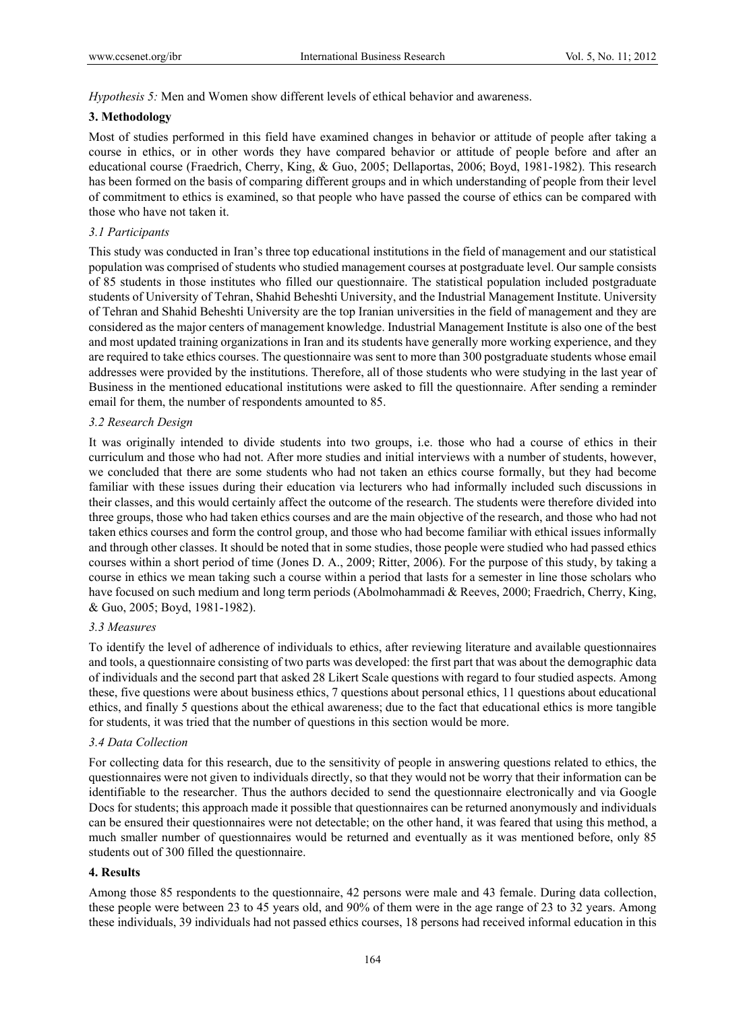*Hypothesis 5:* Men and Women show different levels of ethical behavior and awareness.

## **3. Methodology**

Most of studies performed in this field have examined changes in behavior or attitude of people after taking a course in ethics, or in other words they have compared behavior or attitude of people before and after an educational course (Fraedrich, Cherry, King, & Guo, 2005; Dellaportas, 2006; Boyd, 1981-1982). This research has been formed on the basis of comparing different groups and in which understanding of people from their level of commitment to ethics is examined, so that people who have passed the course of ethics can be compared with those who have not taken it.

## *3.1 Participants*

This study was conducted in Iran's three top educational institutions in the field of management and our statistical population was comprised of students who studied management courses at postgraduate level. Our sample consists of 85 students in those institutes who filled our questionnaire. The statistical population included postgraduate students of University of Tehran, Shahid Beheshti University, and the Industrial Management Institute. University of Tehran and Shahid Beheshti University are the top Iranian universities in the field of management and they are considered as the major centers of management knowledge. Industrial Management Institute is also one of the best and most updated training organizations in Iran and its students have generally more working experience, and they are required to take ethics courses. The questionnaire was sent to more than 300 postgraduate students whose email addresses were provided by the institutions. Therefore, all of those students who were studying in the last year of Business in the mentioned educational institutions were asked to fill the questionnaire. After sending a reminder email for them, the number of respondents amounted to 85.

## *3.2 Research Design*

It was originally intended to divide students into two groups, i.e. those who had a course of ethics in their curriculum and those who had not. After more studies and initial interviews with a number of students, however, we concluded that there are some students who had not taken an ethics course formally, but they had become familiar with these issues during their education via lecturers who had informally included such discussions in their classes, and this would certainly affect the outcome of the research. The students were therefore divided into three groups, those who had taken ethics courses and are the main objective of the research, and those who had not taken ethics courses and form the control group, and those who had become familiar with ethical issues informally and through other classes. It should be noted that in some studies, those people were studied who had passed ethics courses within a short period of time (Jones D. A., 2009; Ritter, 2006). For the purpose of this study, by taking a course in ethics we mean taking such a course within a period that lasts for a semester in line those scholars who have focused on such medium and long term periods (Abolmohammadi & Reeves, 2000; Fraedrich, Cherry, King, & Guo, 2005; Boyd, 1981-1982).

## *3.3 Measures*

To identify the level of adherence of individuals to ethics, after reviewing literature and available questionnaires and tools, a questionnaire consisting of two parts was developed: the first part that was about the demographic data of individuals and the second part that asked 28 Likert Scale questions with regard to four studied aspects. Among these, five questions were about business ethics, 7 questions about personal ethics, 11 questions about educational ethics, and finally 5 questions about the ethical awareness; due to the fact that educational ethics is more tangible for students, it was tried that the number of questions in this section would be more.

## *3.4 Data Collection*

For collecting data for this research, due to the sensitivity of people in answering questions related to ethics, the questionnaires were not given to individuals directly, so that they would not be worry that their information can be identifiable to the researcher. Thus the authors decided to send the questionnaire electronically and via Google Docs for students; this approach made it possible that questionnaires can be returned anonymously and individuals can be ensured their questionnaires were not detectable; on the other hand, it was feared that using this method, a much smaller number of questionnaires would be returned and eventually as it was mentioned before, only 85 students out of 300 filled the questionnaire.

## **4. Results**

Among those 85 respondents to the questionnaire, 42 persons were male and 43 female. During data collection, these people were between 23 to 45 years old, and 90% of them were in the age range of 23 to 32 years. Among these individuals, 39 individuals had not passed ethics courses, 18 persons had received informal education in this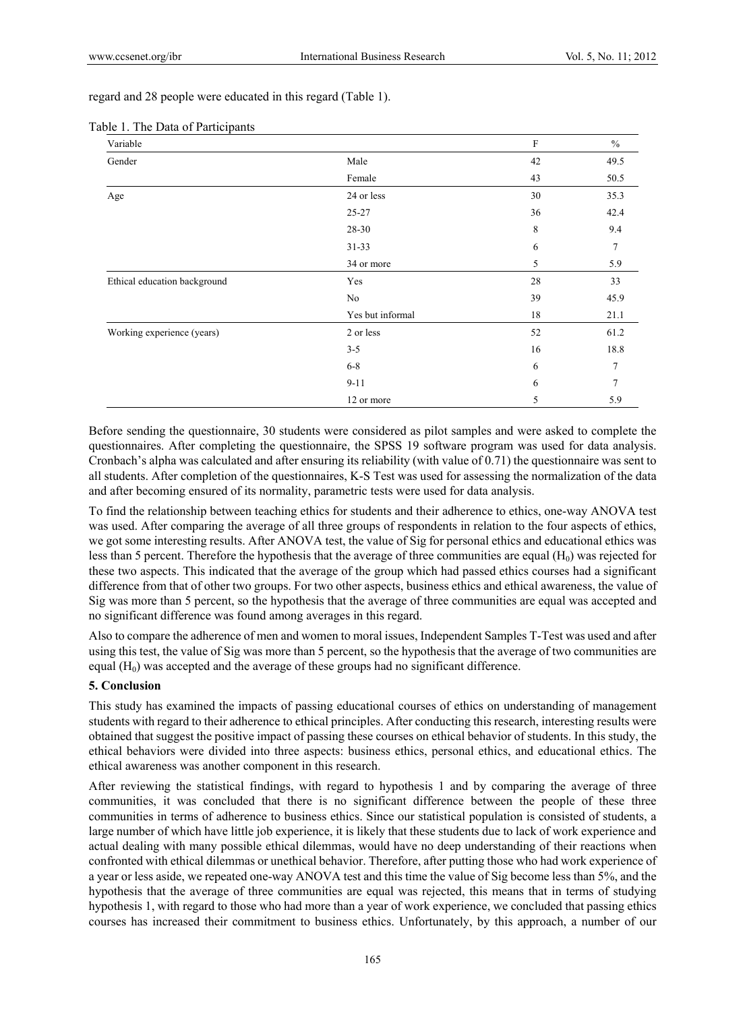regard and 28 people were educated in this regard (Table 1).

| Variable                     |                  | $\rm F$ | $\frac{0}{0}$ |
|------------------------------|------------------|---------|---------------|
| Gender                       | Male             | 42      | 49.5          |
|                              | Female           | 43      | 50.5          |
| Age                          | 24 or less       | 30      | 35.3          |
|                              | $25 - 27$        | 36      | 42.4          |
|                              | 28-30            | 8       | 9.4           |
|                              | $31 - 33$        | 6       | 7             |
|                              | 34 or more       | 5       | 5.9           |
| Ethical education background | Yes              | 28      | 33            |
|                              | No               | 39      | 45.9          |
|                              | Yes but informal | 18      | 21.1          |
| Working experience (years)   | 2 or less        | 52      | 61.2          |
|                              | $3 - 5$          | 16      | 18.8          |
|                              | $6 - 8$          | 6       | 7             |
|                              | $9 - 11$         | 6       |               |
|                              | 12 or more       | 5       | 5.9           |

#### Table 1. The Data of Participants

Before sending the questionnaire, 30 students were considered as pilot samples and were asked to complete the questionnaires. After completing the questionnaire, the SPSS 19 software program was used for data analysis. Cronbach's alpha was calculated and after ensuring its reliability (with value of 0.71) the questionnaire was sent to all students. After completion of the questionnaires, K-S Test was used for assessing the normalization of the data and after becoming ensured of its normality, parametric tests were used for data analysis.

To find the relationship between teaching ethics for students and their adherence to ethics, one-way ANOVA test was used. After comparing the average of all three groups of respondents in relation to the four aspects of ethics, we got some interesting results. After ANOVA test, the value of Sig for personal ethics and educational ethics was less than 5 percent. Therefore the hypothesis that the average of three communities are equal  $(H_0)$  was rejected for these two aspects. This indicated that the average of the group which had passed ethics courses had a significant difference from that of other two groups. For two other aspects, business ethics and ethical awareness, the value of Sig was more than 5 percent, so the hypothesis that the average of three communities are equal was accepted and no significant difference was found among averages in this regard.

Also to compare the adherence of men and women to moral issues, Independent Samples T-Test was used and after using this test, the value of Sig was more than 5 percent, so the hypothesis that the average of two communities are equal  $(H<sub>0</sub>)$  was accepted and the average of these groups had no significant difference.

#### **5. Conclusion**

This study has examined the impacts of passing educational courses of ethics on understanding of management students with regard to their adherence to ethical principles. After conducting this research, interesting results were obtained that suggest the positive impact of passing these courses on ethical behavior of students. In this study, the ethical behaviors were divided into three aspects: business ethics, personal ethics, and educational ethics. The ethical awareness was another component in this research.

After reviewing the statistical findings, with regard to hypothesis 1 and by comparing the average of three communities, it was concluded that there is no significant difference between the people of these three communities in terms of adherence to business ethics. Since our statistical population is consisted of students, a large number of which have little job experience, it is likely that these students due to lack of work experience and actual dealing with many possible ethical dilemmas, would have no deep understanding of their reactions when confronted with ethical dilemmas or unethical behavior. Therefore, after putting those who had work experience of a year or less aside, we repeated one-way ANOVA test and this time the value of Sig become less than 5%, and the hypothesis that the average of three communities are equal was rejected, this means that in terms of studying hypothesis 1, with regard to those who had more than a year of work experience, we concluded that passing ethics courses has increased their commitment to business ethics. Unfortunately, by this approach, a number of our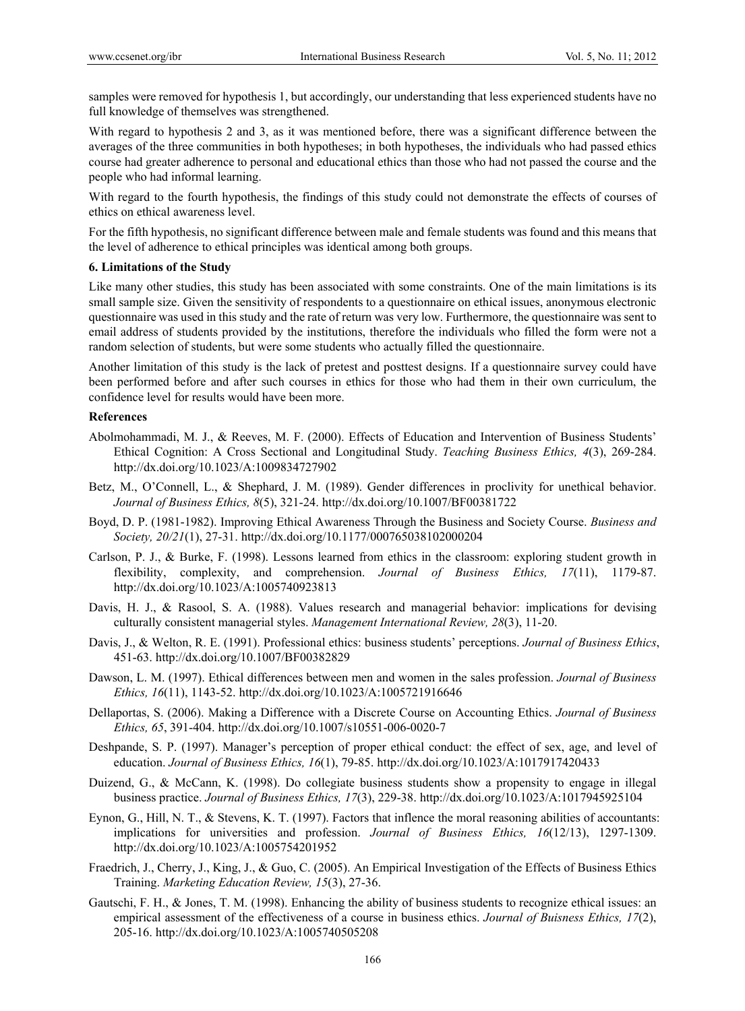samples were removed for hypothesis 1, but accordingly, our understanding that less experienced students have no full knowledge of themselves was strengthened.

With regard to hypothesis 2 and 3, as it was mentioned before, there was a significant difference between the averages of the three communities in both hypotheses; in both hypotheses, the individuals who had passed ethics course had greater adherence to personal and educational ethics than those who had not passed the course and the people who had informal learning.

With regard to the fourth hypothesis, the findings of this study could not demonstrate the effects of courses of ethics on ethical awareness level.

For the fifth hypothesis, no significant difference between male and female students was found and this means that the level of adherence to ethical principles was identical among both groups.

## **6. Limitations of the Study**

Like many other studies, this study has been associated with some constraints. One of the main limitations is its small sample size. Given the sensitivity of respondents to a questionnaire on ethical issues, anonymous electronic questionnaire was used in this study and the rate of return was very low. Furthermore, the questionnaire was sent to email address of students provided by the institutions, therefore the individuals who filled the form were not a random selection of students, but were some students who actually filled the questionnaire.

Another limitation of this study is the lack of pretest and posttest designs. If a questionnaire survey could have been performed before and after such courses in ethics for those who had them in their own curriculum, the confidence level for results would have been more.

## **References**

- Abolmohammadi, M. J., & Reeves, M. F. (2000). Effects of Education and Intervention of Business Students' Ethical Cognition: A Cross Sectional and Longitudinal Study. *Teaching Business Ethics, 4*(3), 269-284. http://dx.doi.org/10.1023/A:1009834727902
- Betz, M., O'Connell, L., & Shephard, J. M. (1989). Gender differences in proclivity for unethical behavior. *Journal of Business Ethics, 8*(5), 321-24. http://dx.doi.org/10.1007/BF00381722
- Boyd, D. P. (1981-1982). Improving Ethical Awareness Through the Business and Society Course. *Business and Society, 20/21*(1), 27-31. http://dx.doi.org/10.1177/000765038102000204
- Carlson, P. J., & Burke, F. (1998). Lessons learned from ethics in the classroom: exploring student growth in flexibility, complexity, and comprehension. *Journal of Business Ethics, 17*(11), 1179-87. http://dx.doi.org/10.1023/A:1005740923813
- Davis, H. J., & Rasool, S. A. (1988). Values research and managerial behavior: implications for devising culturally consistent managerial styles. *Management International Review, 28*(3), 11-20.
- Davis, J., & Welton, R. E. (1991). Professional ethics: business students' perceptions. *Journal of Business Ethics*, 451-63. http://dx.doi.org/10.1007/BF00382829
- Dawson, L. M. (1997). Ethical differences between men and women in the sales profession. *Journal of Business Ethics, 16*(11), 1143-52. http://dx.doi.org/10.1023/A:1005721916646
- Dellaportas, S. (2006). Making a Difference with a Discrete Course on Accounting Ethics. *Journal of Business Ethics, 65*, 391-404. http://dx.doi.org/10.1007/s10551-006-0020-7
- Deshpande, S. P. (1997). Manager's perception of proper ethical conduct: the effect of sex, age, and level of education. *Journal of Business Ethics, 16*(1), 79-85. http://dx.doi.org/10.1023/A:1017917420433
- Duizend, G., & McCann, K. (1998). Do collegiate business students show a propensity to engage in illegal business practice. *Journal of Business Ethics, 17*(3), 229-38. http://dx.doi.org/10.1023/A:1017945925104
- Eynon, G., Hill, N. T., & Stevens, K. T. (1997). Factors that inflence the moral reasoning abilities of accountants: implications for universities and profession. *Journal of Business Ethics, 16*(12/13), 1297-1309. http://dx.doi.org/10.1023/A:1005754201952
- Fraedrich, J., Cherry, J., King, J., & Guo, C. (2005). An Empirical Investigation of the Effects of Business Ethics Training. *Marketing Education Review, 15*(3), 27-36.
- Gautschi, F. H., & Jones, T. M. (1998). Enhancing the ability of business students to recognize ethical issues: an empirical assessment of the effectiveness of a course in business ethics. *Journal of Buisness Ethics, 17*(2), 205-16. http://dx.doi.org/10.1023/A:1005740505208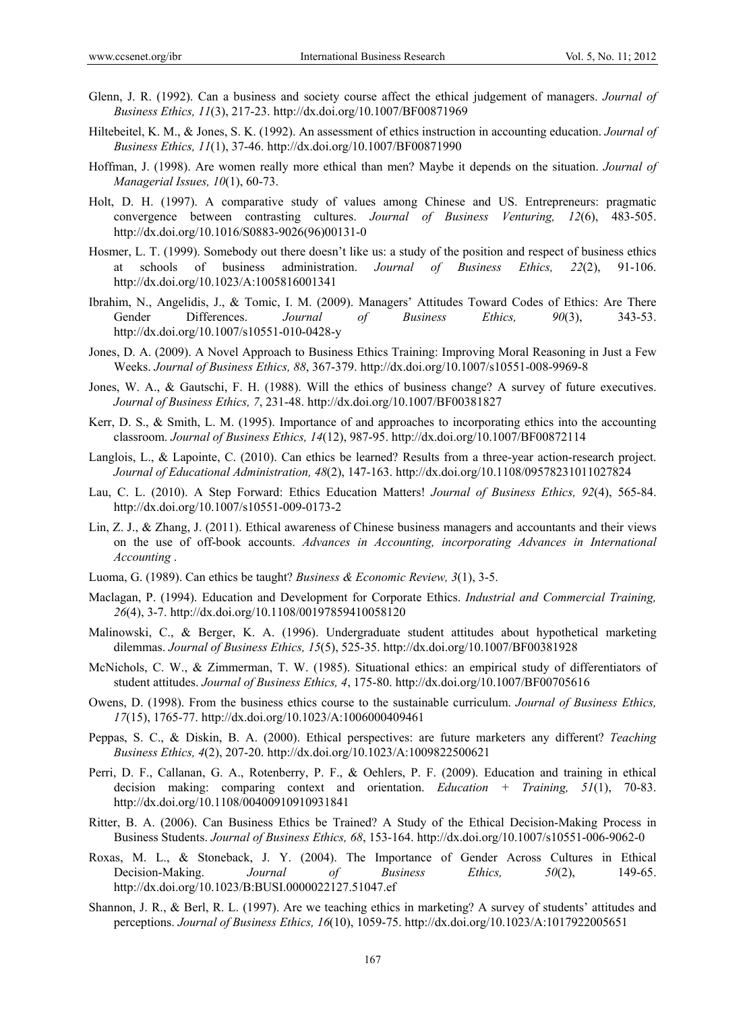- Glenn, J. R. (1992). Can a business and society course affect the ethical judgement of managers. *Journal of Business Ethics, 11*(3), 217-23. http://dx.doi.org/10.1007/BF00871969
- Hiltebeitel, K. M., & Jones, S. K. (1992). An assessment of ethics instruction in accounting education. *Journal of Business Ethics, 11*(1), 37-46. http://dx.doi.org/10.1007/BF00871990
- Hoffman, J. (1998). Are women really more ethical than men? Maybe it depends on the situation. *Journal of Managerial Issues, 10*(1), 60-73.
- Holt, D. H. (1997). A comparative study of values among Chinese and US. Entrepreneurs: pragmatic convergence between contrasting cultures. *Journal of Business Venturing, 12*(6), 483-505. http://dx.doi.org/10.1016/S0883-9026(96)00131-0
- Hosmer, L. T. (1999). Somebody out there doesn't like us: a study of the position and respect of business ethics at schools of business administration. *Journal of Business Ethics, 22*(2), 91-106. http://dx.doi.org/10.1023/A:1005816001341
- Ibrahim, N., Angelidis, J., & Tomic, I. M. (2009). Managers' Attitudes Toward Codes of Ethics: Are There Gender Differences. *Journal of Business Ethics, 90*(3), 343-53. http://dx.doi.org/10.1007/s10551-010-0428-y
- Jones, D. A. (2009). A Novel Approach to Business Ethics Training: Improving Moral Reasoning in Just a Few Weeks. *Journal of Business Ethics, 88*, 367-379. http://dx.doi.org/10.1007/s10551-008-9969-8
- Jones, W. A., & Gautschi, F. H. (1988). Will the ethics of business change? A survey of future executives. *Journal of Business Ethics, 7*, 231-48. http://dx.doi.org/10.1007/BF00381827
- Kerr, D. S., & Smith, L. M. (1995). Importance of and approaches to incorporating ethics into the accounting classroom. *Journal of Business Ethics, 14*(12), 987-95. http://dx.doi.org/10.1007/BF00872114
- Langlois, L., & Lapointe, C. (2010). Can ethics be learned? Results from a three-year action-research project. *Journal of Educational Administration, 48*(2), 147-163. http://dx.doi.org/10.1108/09578231011027824
- Lau, C. L. (2010). A Step Forward: Ethics Education Matters! *Journal of Business Ethics, 92*(4), 565-84. http://dx.doi.org/10.1007/s10551-009-0173-2
- Lin, Z. J., & Zhang, J. (2011). Ethical awareness of Chinese business managers and accountants and their views on the use of off-book accounts. *Advances in Accounting, incorporating Advances in International Accounting* .
- Luoma, G. (1989). Can ethics be taught? *Business & Economic Review, 3*(1), 3-5.
- Maclagan, P. (1994). Education and Development for Corporate Ethics. *Industrial and Commercial Training, 26*(4), 3-7. http://dx.doi.org/10.1108/00197859410058120
- Malinowski, C., & Berger, K. A. (1996). Undergraduate student attitudes about hypothetical marketing dilemmas. *Journal of Business Ethics, 15*(5), 525-35. http://dx.doi.org/10.1007/BF00381928
- McNichols, C. W., & Zimmerman, T. W. (1985). Situational ethics: an empirical study of differentiators of student attitudes. *Journal of Business Ethics, 4*, 175-80. http://dx.doi.org/10.1007/BF00705616
- Owens, D. (1998). From the business ethics course to the sustainable curriculum. *Journal of Business Ethics, 17*(15), 1765-77. http://dx.doi.org/10.1023/A:1006000409461
- Peppas, S. C., & Diskin, B. A. (2000). Ethical perspectives: are future marketers any different? *Teaching Business Ethics, 4*(2), 207-20. http://dx.doi.org/10.1023/A:1009822500621
- Perri, D. F., Callanan, G. A., Rotenberry, P. F., & Oehlers, P. F. (2009). Education and training in ethical decision making: comparing context and orientation. *Education + Training, 51*(1), 70-83. http://dx.doi.org/10.1108/00400910910931841
- Ritter, B. A. (2006). Can Business Ethics be Trained? A Study of the Ethical Decision-Making Process in Business Students. *Journal of Business Ethics, 68*, 153-164. http://dx.doi.org/10.1007/s10551-006-9062-0
- Roxas, M. L., & Stoneback, J. Y. (2004). The Importance of Gender Across Cultures in Ethical Decision-Making. *Journal of Business Ethics, 50*(2), 149-65. http://dx.doi.org/10.1023/B:BUSI.0000022127.51047.ef
- Shannon, J. R., & Berl, R. L. (1997). Are we teaching ethics in marketing? A survey of students' attitudes and perceptions. *Journal of Business Ethics, 16*(10), 1059-75. http://dx.doi.org/10.1023/A:1017922005651